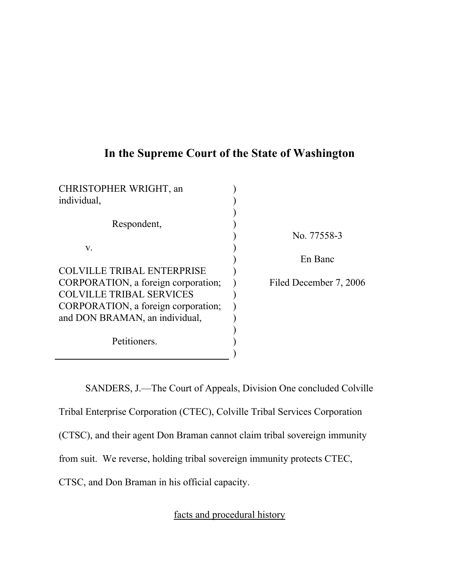# **In the Supreme Court of the State of Washington**

| No. 77558-3            |
|------------------------|
|                        |
| En Banc                |
|                        |
| Filed December 7, 2006 |
|                        |
|                        |
|                        |
|                        |
|                        |
|                        |
|                        |

SANDERS, J.—The Court of Appeals, Division One concluded Colville Tribal Enterprise Corporation (CTEC), Colville Tribal Services Corporation (CTSC), and their agent Don Braman cannot claim tribal sovereign immunity from suit. We reverse, holding tribal sovereign immunity protects CTEC, CTSC, and Don Braman in his official capacity.

facts and procedural history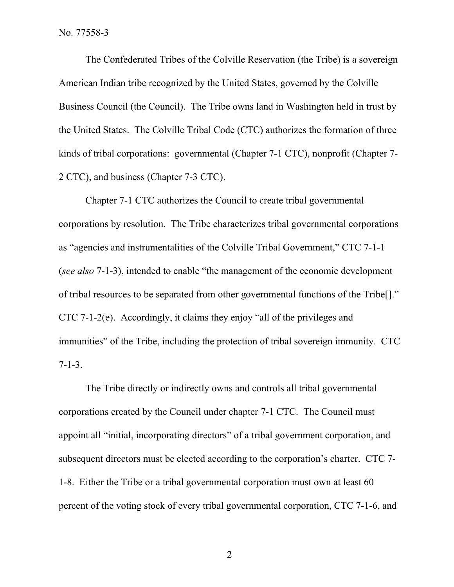The Confederated Tribes of the Colville Reservation (the Tribe) is a sovereign American Indian tribe recognized by the United States, governed by the Colville Business Council (the Council). The Tribe owns land in Washington held in trust by the United States. The Colville Tribal Code (CTC) authorizes the formation of three kinds of tribal corporations: governmental (Chapter 7-1 CTC), nonprofit (Chapter 7- 2 CTC), and business (Chapter 7-3 CTC).

Chapter 7-1 CTC authorizes the Council to create tribal governmental corporations by resolution. The Tribe characterizes tribal governmental corporations as "agencies and instrumentalities of the Colville Tribal Government," CTC 7-1-1 (*see also* 7-1-3), intended to enable "the management of the economic development of tribal resources to be separated from other governmental functions of the Tribe[]." CTC 7-1-2(e). Accordingly, it claims they enjoy "all of the privileges and immunities" of the Tribe, including the protection of tribal sovereign immunity. CTC 7-1-3.

The Tribe directly or indirectly owns and controls all tribal governmental corporations created by the Council under chapter 7-1 CTC. The Council must appoint all "initial, incorporating directors" of a tribal government corporation, and subsequent directors must be elected according to the corporation's charter. CTC 7- 1-8. Either the Tribe or a tribal governmental corporation must own at least 60 percent of the voting stock of every tribal governmental corporation, CTC 7-1-6, and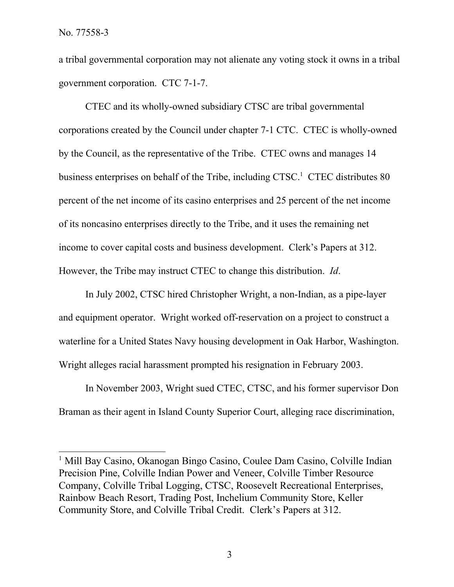a tribal governmental corporation may not alienate any voting stock it owns in a tribal government corporation. CTC 7-1-7.

CTEC and its wholly-owned subsidiary CTSC are tribal governmental corporations created by the Council under chapter 7-1 CTC. CTEC is wholly-owned by the Council, as the representative of the Tribe. CTEC owns and manages 14 business enterprises on behalf of the Tribe, including CTSC. <sup>1</sup> CTEC distributes 80 percent of the net income of its casino enterprises and 25 percent of the net income of its noncasino enterprises directly to the Tribe, and it uses the remaining net income to cover capital costs and business development. Clerk's Papers at 312. However, the Tribe may instruct CTEC to change this distribution. *Id*.

In July 2002, CTSC hired Christopher Wright, a non-Indian, as a pipe-layer and equipment operator. Wright worked off-reservation on a project to construct a waterline for a United States Navy housing development in Oak Harbor, Washington. Wright alleges racial harassment prompted his resignation in February 2003.

In November 2003, Wright sued CTEC, CTSC, and his former supervisor Don Braman as their agent in Island County Superior Court, alleging race discrimination,

<sup>&</sup>lt;sup>1</sup> Mill Bay Casino, Okanogan Bingo Casino, Coulee Dam Casino, Colville Indian Precision Pine, Colville Indian Power and Veneer, Colville Timber Resource Company, Colville Tribal Logging, CTSC, Roosevelt Recreational Enterprises, Rainbow Beach Resort, Trading Post, Inchelium Community Store, Keller Community Store, and Colville Tribal Credit. Clerk's Papers at 312.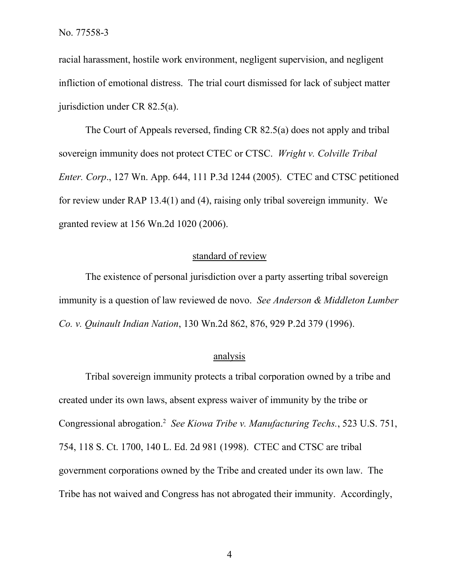racial harassment, hostile work environment, negligent supervision, and negligent infliction of emotional distress. The trial court dismissed for lack of subject matter jurisdiction under CR 82.5(a).

The Court of Appeals reversed, finding CR 82.5(a) does not apply and tribal sovereign immunity does not protect CTEC or CTSC. *Wright v. Colville Tribal Enter. Corp*., 127 Wn. App. 644, 111 P.3d 1244 (2005). CTEC and CTSC petitioned for review under RAP 13.4(1) and (4), raising only tribal sovereign immunity. We granted review at 156 Wn.2d 1020 (2006).

## standard of review

The existence of personal jurisdiction over a party asserting tribal sovereign immunity is a question of law reviewed de novo. *See Anderson & Middleton Lumber Co. v. Quinault Indian Nation*, 130 Wn.2d 862, 876, 929 P.2d 379 (1996).

### analysis

Tribal sovereign immunity protects a tribal corporation owned by a tribe and created under its own laws, absent express waiver of immunity by the tribe or Congressional abrogation.<sup>2</sup> *See Kiowa Tribe v. Manufacturing Techs.*, 523 U.S. 751, 754, 118 S. Ct. 1700, 140 L. Ed. 2d 981 (1998). CTEC and CTSC are tribal government corporations owned by the Tribe and created under its own law. The Tribe has not waived and Congress has not abrogated their immunity. Accordingly,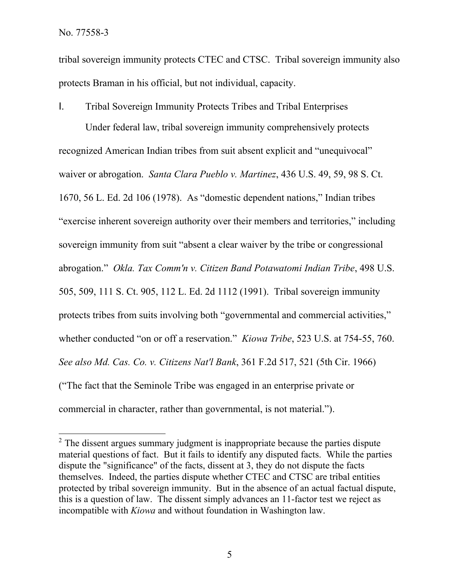tribal sovereign immunity protects CTEC and CTSC. Tribal sovereign immunity also protects Braman in his official, but not individual, capacity.

I. Tribal Sovereign Immunity Protects Tribes and Tribal Enterprises

Under federal law, tribal sovereign immunity comprehensively protects recognized American Indian tribes from suit absent explicit and "unequivocal" waiver or abrogation. *Santa Clara Pueblo v. Martinez*, 436 U.S. 49, 59, 98 S. Ct. 1670, 56 L. Ed. 2d 106 (1978). As "domestic dependent nations," Indian tribes "exercise inherent sovereign authority over their members and territories," including sovereign immunity from suit "absent a clear waiver by the tribe or congressional abrogation." *Okla. Tax Comm'n v. Citizen Band Potawatomi Indian Tribe*, 498 U.S. 505, 509, 111 S. Ct. 905, 112 L. Ed. 2d 1112 (1991). Tribal sovereign immunity protects tribes from suits involving both "governmental and commercial activities," whether conducted "on or off a reservation." *Kiowa Tribe*, 523 U.S. at 754-55, 760. *See also Md. Cas. Co. v. Citizens Nat'l Bank*, 361 F.2d 517, 521 (5th Cir. 1966) ("The fact that the Seminole Tribe was engaged in an enterprise private or commercial in character, rather than governmental, is not material.").

 $2$ . The dissent argues summary judgment is inappropriate because the parties dispute material questions of fact. But it fails to identify any disputed facts. While the parties dispute the "significance" of the facts, dissent at 3, they do not dispute the facts themselves. Indeed, the parties dispute whether CTEC and CTSC are tribal entities protected by tribal sovereign immunity. But in the absence of an actual factual dispute, this is a question of law. The dissent simply advances an 11-factor test we reject as incompatible with *Kiowa* and without foundation in Washington law.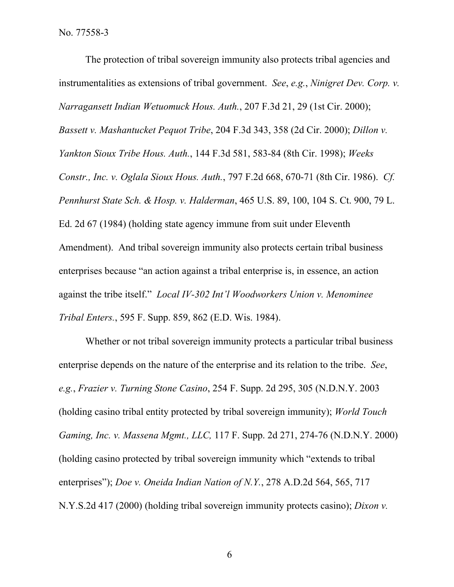The protection of tribal sovereign immunity also protects tribal agencies and instrumentalities as extensions of tribal government. *See*, *e.g.*, *Ninigret Dev. Corp. v. Narragansett Indian Wetuomuck Hous. Auth.*, 207 F.3d 21, 29 (1st Cir. 2000); *Bassett v. Mashantucket Pequot Tribe*, 204 F.3d 343, 358 (2d Cir. 2000); *Dillon v. Yankton Sioux Tribe Hous. Auth.*, 144 F.3d 581, 583-84 (8th Cir. 1998); *Weeks Constr., Inc. v. Oglala Sioux Hous. Auth.*, 797 F.2d 668, 670-71 (8th Cir. 1986). *Cf. Pennhurst State Sch. & Hosp. v. Halderman*, 465 U.S. 89, 100, 104 S. Ct. 900, 79 L. Ed. 2d 67 (1984) (holding state agency immune from suit under Eleventh Amendment). And tribal sovereign immunity also protects certain tribal business enterprises because "an action against a tribal enterprise is, in essence, an action against the tribe itself." *Local IV-302 Int'l Woodworkers Union v. Menominee Tribal Enters.*, 595 F. Supp. 859, 862 (E.D. Wis. 1984).

Whether or not tribal sovereign immunity protects a particular tribal business enterprise depends on the nature of the enterprise and its relation to the tribe. *See*, *e.g.*, *Frazier v. Turning Stone Casino*, 254 F. Supp. 2d 295, 305 (N.D.N.Y. 2003 (holding casino tribal entity protected by tribal sovereign immunity); *World Touch Gaming, Inc. v. Massena Mgmt., LLC,* 117 F. Supp. 2d 271, 274-76 (N.D.N.Y. 2000) (holding casino protected by tribal sovereign immunity which "extends to tribal enterprises"); *Doe v. Oneida Indian Nation of N.Y.*, 278 A.D.2d 564, 565, 717 N.Y.S.2d 417 (2000) (holding tribal sovereign immunity protects casino); *Dixon v.*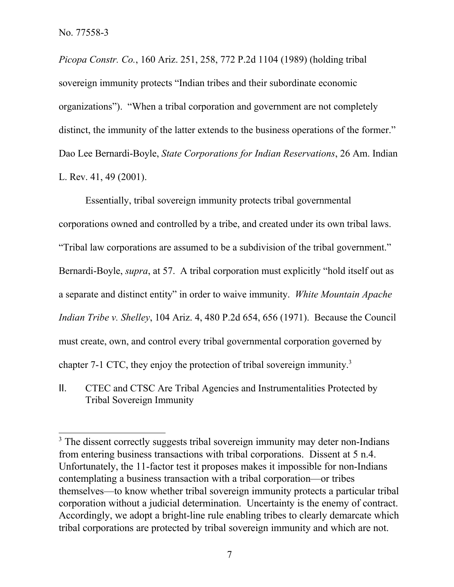*Picopa Constr. Co.*, 160 Ariz. 251, 258, 772 P.2d 1104 (1989) (holding tribal sovereign immunity protects "Indian tribes and their subordinate economic organizations"). "When a tribal corporation and government are not completely distinct, the immunity of the latter extends to the business operations of the former." Dao Lee Bernardi-Boyle, *State Corporations for Indian Reservations*, 26 Am. Indian L. Rev. 41, 49 (2001).

Essentially, tribal sovereign immunity protects tribal governmental corporations owned and controlled by a tribe, and created under its own tribal laws. "Tribal law corporations are assumed to be a subdivision of the tribal government." Bernardi-Boyle, *supra*, at 57. A tribal corporation must explicitly "hold itself out as a separate and distinct entity" in order to waive immunity. *White Mountain Apache Indian Tribe v. Shelley*, 104 Ariz. 4, 480 P.2d 654, 656 (1971). Because the Council must create, own, and control every tribal governmental corporation governed by chapter 7-1 CTC, they enjoy the protection of tribal sovereign immunity.<sup>3</sup>

II. CTEC and CTSC Are Tribal Agencies and Instrumentalities Protected by Tribal Sovereign Immunity

<sup>&</sup>lt;sup>3</sup> The dissent correctly suggests tribal sovereign immunity may deter non-Indians from entering business transactions with tribal corporations. Dissent at 5 n.4. Unfortunately, the 11-factor test it proposes makes it impossible for non-Indians contemplating a business transaction with a tribal corporation—or tribes themselves—to know whether tribal sovereign immunity protects a particular tribal corporation without a judicial determination. Uncertainty is the enemy of contract. Accordingly, we adopt a bright-line rule enabling tribes to clearly demarcate which tribal corporations are protected by tribal sovereign immunity and which are not.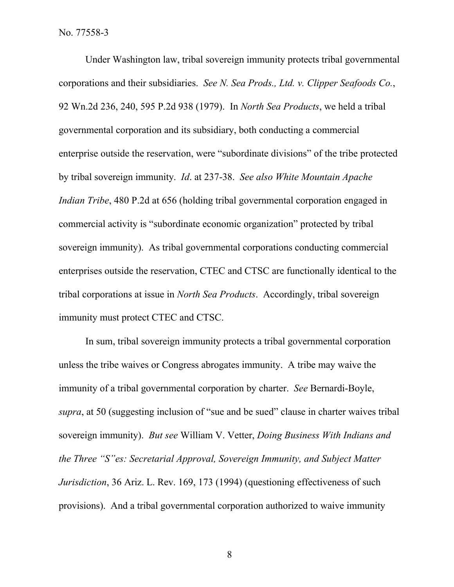Under Washington law, tribal sovereign immunity protects tribal governmental corporations and their subsidiaries. *See N. Sea Prods., Ltd. v. Clipper Seafoods Co.*, 92 Wn.2d 236, 240, 595 P.2d 938 (1979). In *North Sea Products*, we held a tribal governmental corporation and its subsidiary, both conducting a commercial enterprise outside the reservation, were "subordinate divisions" of the tribe protected by tribal sovereign immunity. *Id*. at 237-38. *See also White Mountain Apache Indian Tribe*, 480 P.2d at 656 (holding tribal governmental corporation engaged in commercial activity is "subordinate economic organization" protected by tribal sovereign immunity). As tribal governmental corporations conducting commercial enterprises outside the reservation, CTEC and CTSC are functionally identical to the tribal corporations at issue in *North Sea Products*. Accordingly, tribal sovereign immunity must protect CTEC and CTSC.

In sum, tribal sovereign immunity protects a tribal governmental corporation unless the tribe waives or Congress abrogates immunity. A tribe may waive the immunity of a tribal governmental corporation by charter. *See* Bernardi-Boyle, *supra*, at 50 (suggesting inclusion of "sue and be sued" clause in charter waives tribal sovereign immunity). *But see* William V. Vetter, *Doing Business With Indians and the Three "S"es: Secretarial Approval, Sovereign Immunity, and Subject Matter Jurisdiction*, 36 Ariz. L. Rev. 169, 173 (1994) (questioning effectiveness of such provisions). And a tribal governmental corporation authorized to waive immunity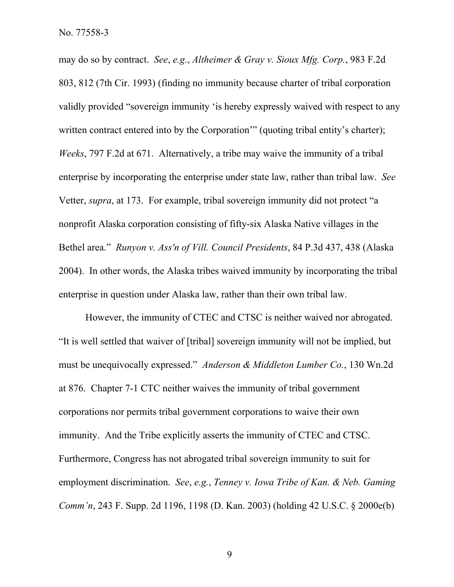may do so by contract. *See*, *e.g.*, *Altheimer & Gray v. Sioux Mfg. Corp.*, 983 F.2d 803, 812 (7th Cir. 1993) (finding no immunity because charter of tribal corporation validly provided "sovereign immunity 'is hereby expressly waived with respect to any written contract entered into by the Corporation'" (quoting tribal entity's charter); *Weeks*, 797 F.2d at 671. Alternatively, a tribe may waive the immunity of a tribal enterprise by incorporating the enterprise under state law, rather than tribal law. *See* Vetter, *supra*, at 173. For example, tribal sovereign immunity did not protect "a nonprofit Alaska corporation consisting of fifty-six Alaska Native villages in the Bethel area." *Runyon v. Ass'n of Vill. Council Presidents*, 84 P.3d 437, 438 (Alaska 2004). In other words, the Alaska tribes waived immunity by incorporating the tribal enterprise in question under Alaska law, rather than their own tribal law.

However, the immunity of CTEC and CTSC is neither waived nor abrogated. "It is well settled that waiver of [tribal] sovereign immunity will not be implied, but must be unequivocally expressed." *Anderson & Middleton Lumber Co.*, 130 Wn.2d at 876. Chapter 7-1 CTC neither waives the immunity of tribal government corporations nor permits tribal government corporations to waive their own immunity. And the Tribe explicitly asserts the immunity of CTEC and CTSC. Furthermore, Congress has not abrogated tribal sovereign immunity to suit for employment discrimination. *See*, *e.g.*, *Tenney v. Iowa Tribe of Kan. & Neb. Gaming Comm'n*, 243 F. Supp. 2d 1196, 1198 (D. Kan. 2003) (holding 42 U.S.C. § 2000e(b)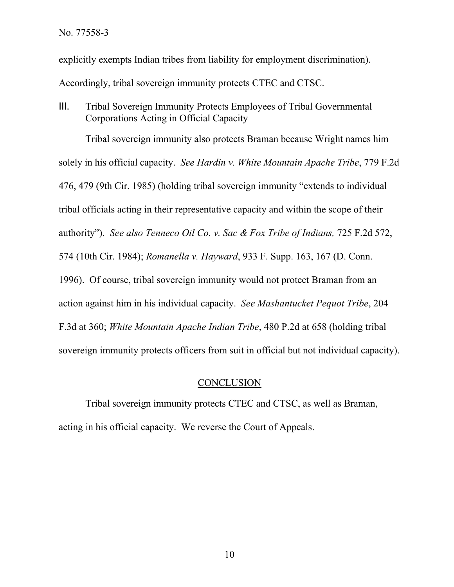explicitly exempts Indian tribes from liability for employment discrimination). Accordingly, tribal sovereign immunity protects CTEC and CTSC.

III. Tribal Sovereign Immunity Protects Employees of Tribal Governmental Corporations Acting in Official Capacity

Tribal sovereign immunity also protects Braman because Wright names him solely in his official capacity. *See Hardin v. White Mountain Apache Tribe*, 779 F.2d 476, 479 (9th Cir. 1985) (holding tribal sovereign immunity "extends to individual tribal officials acting in their representative capacity and within the scope of their authority"). *See also Tenneco Oil Co. v. Sac & Fox Tribe of Indians,* 725 F.2d 572, 574 (10th Cir. 1984); *Romanella v. Hayward*, 933 F. Supp. 163, 167 (D. Conn. 1996). Of course, tribal sovereign immunity would not protect Braman from an action against him in his individual capacity. *See Mashantucket Pequot Tribe*, 204 F.3d at 360; *White Mountain Apache Indian Tribe*, 480 P.2d at 658 (holding tribal sovereign immunity protects officers from suit in official but not individual capacity).

### **CONCLUSION**

Tribal sovereign immunity protects CTEC and CTSC, as well as Braman, acting in his official capacity. We reverse the Court of Appeals.